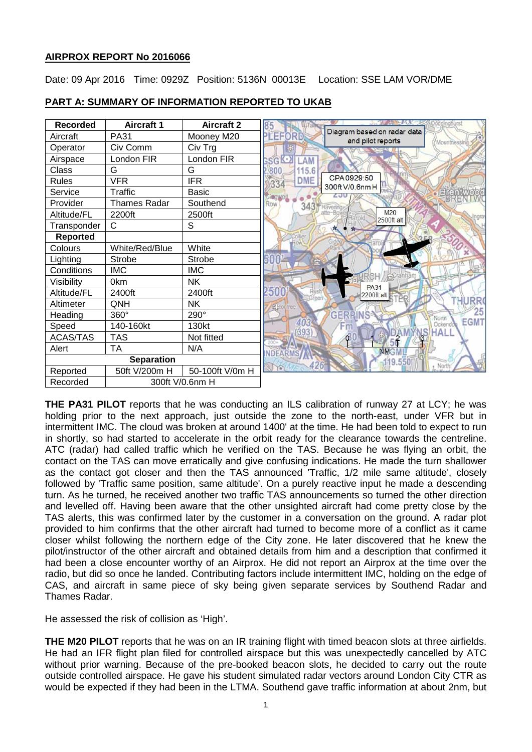# **AIRPROX REPORT No 2016066**

Date: 09 Apr 2016 Time: 0929Z Position: 5136N 00013E Location: SSE LAM VOR/DME

| <b>Recorded</b>   | <b>Aircraft 1</b>   | <b>Aircraft 2</b> |                                                                                    |
|-------------------|---------------------|-------------------|------------------------------------------------------------------------------------|
| Aircraft          | <b>PA31</b>         | Mooney M20        | Diagram based on radar data<br><b>PLEFORD</b><br>and pilot reports<br>Mountnessing |
| Operator          | Civ Comm            | Civ Trg           |                                                                                    |
| Airspace          | London FIR          | London FIR        | <b>SGK-XI</b><br>LAM                                                               |
| Class             | G                   | G                 | 15.6<br>800                                                                        |
| <b>Rules</b>      | <b>VFR</b>          | <b>IFR</b>        | CPA0929:50<br><b>DME</b><br>334<br>300ft V/0.6nm H                                 |
| Service           | Traffic             | <b>Basic</b>      | <b>IBOWE</b>                                                                       |
| Provider          | <b>Thames Radar</b> | Southend          | Row<br>343                                                                         |
| Altitude/FL       | 2200ft              | 2500ft            | M20<br>2500ft alt                                                                  |
| Transponder       | $\mathsf{C}$        | S                 |                                                                                    |
| <b>Reported</b>   |                     |                   |                                                                                    |
| Colours           | White/Red/Blue      | White             |                                                                                    |
| Lighting          | <b>Strobe</b>       | Strobe            |                                                                                    |
| Conditions        | <b>IMC</b>          | <b>IMC</b>        |                                                                                    |
| Visibility        | 0km                 | <b>NK</b>         | <b>PA31</b>                                                                        |
| Altitude/FL       | 2400ft              | 2400ft            | 2500<br>2200ft alt                                                                 |
| Altimeter         | QNH                 | NΚ                | JRR                                                                                |
| Heading           | 360°                | 290°              | 25<br><b>GERPINS</b><br>North                                                      |
| Speed             | 140-160kt           | 130kt             | <b>EGMT</b><br>403<br>Ockendou                                                     |
| <b>ACAS/TAS</b>   | <b>TAS</b>          | Not fitted        | <b>HALI</b><br>393                                                                 |
| Alert             | <b>TA</b>           | N/A               | <b>NMGMI</b>                                                                       |
| <b>Separation</b> |                     |                   | 9.550                                                                              |
| Reported          | 50ft V/200m H       | 50-100ft V/0m H   |                                                                                    |
| Recorded          | 300ft V/0.6nm H     |                   |                                                                                    |

### **PART A: SUMMARY OF INFORMATION REPORTED TO UKAB**

**THE PA31 PILOT** reports that he was conducting an ILS calibration of runway 27 at LCY; he was holding prior to the next approach, just outside the zone to the north-east, under VFR but in intermittent IMC. The cloud was broken at around 1400' at the time. He had been told to expect to run in shortly, so had started to accelerate in the orbit ready for the clearance towards the centreline. ATC (radar) had called traffic which he verified on the TAS. Because he was flying an orbit, the contact on the TAS can move erratically and give confusing indications. He made the turn shallower as the contact got closer and then the TAS announced 'Traffic, 1/2 mile same altitude', closely followed by 'Traffic same position, same altitude'. On a purely reactive input he made a descending turn. As he turned, he received another two traffic TAS announcements so turned the other direction and levelled off. Having been aware that the other unsighted aircraft had come pretty close by the TAS alerts, this was confirmed later by the customer in a conversation on the ground. A radar plot provided to him confirms that the other aircraft had turned to become more of a conflict as it came closer whilst following the northern edge of the City zone. He later discovered that he knew the pilot/instructor of the other aircraft and obtained details from him and a description that confirmed it had been a close encounter worthy of an Airprox. He did not report an Airprox at the time over the radio, but did so once he landed. Contributing factors include intermittent IMC, holding on the edge of CAS, and aircraft in same piece of sky being given separate services by Southend Radar and Thames Radar.

He assessed the risk of collision as 'High'.

**THE M20 PILOT** reports that he was on an IR training flight with timed beacon slots at three airfields. He had an IFR flight plan filed for controlled airspace but this was unexpectedly cancelled by ATC without prior warning. Because of the pre-booked beacon slots, he decided to carry out the route outside controlled airspace. He gave his student simulated radar vectors around London City CTR as would be expected if they had been in the LTMA. Southend gave traffic information at about 2nm, but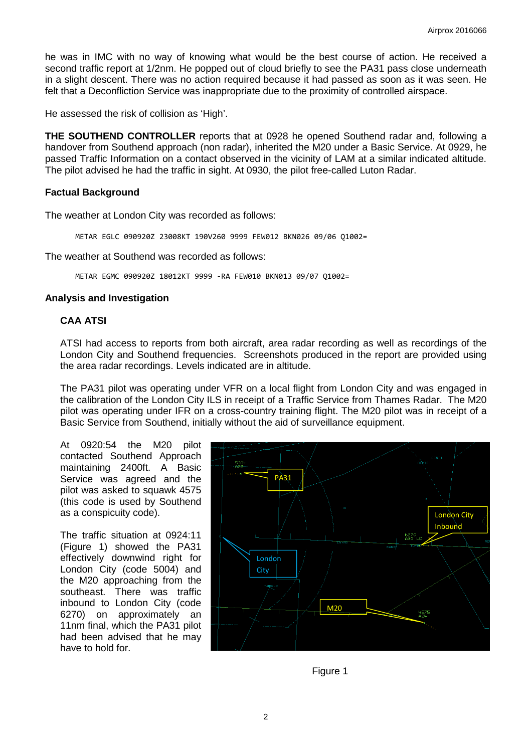he was in IMC with no way of knowing what would be the best course of action. He received a second traffic report at 1/2nm. He popped out of cloud briefly to see the PA31 pass close underneath in a slight descent. There was no action required because it had passed as soon as it was seen. He felt that a Deconfliction Service was inappropriate due to the proximity of controlled airspace.

He assessed the risk of collision as 'High'.

**THE SOUTHEND CONTROLLER** reports that at 0928 he opened Southend radar and, following a handover from Southend approach (non radar), inherited the M20 under a Basic Service. At 0929, he passed Traffic Information on a contact observed in the vicinity of LAM at a similar indicated altitude. The pilot advised he had the traffic in sight. At 0930, the pilot free-called Luton Radar.

#### **Factual Background**

The weather at London City was recorded as follows:

METAR EGLC 090920Z 23008KT 190V260 9999 FEW012 BKN026 09/06 Q1002=

The weather at Southend was recorded as follows:

METAR EGMC 090920Z 18012KT 9999 -RA FEW010 BKN013 09/07 Q1002=

### **Analysis and Investigation**

### **CAA ATSI**

ATSI had access to reports from both aircraft, area radar recording as well as recordings of the London City and Southend frequencies. Screenshots produced in the report are provided using the area radar recordings. Levels indicated are in altitude.

The PA31 pilot was operating under VFR on a local flight from London City and was engaged in the calibration of the London City ILS in receipt of a Traffic Service from Thames Radar. The M20 pilot was operating under IFR on a cross-country training flight. The M20 pilot was in receipt of a Basic Service from Southend, initially without the aid of surveillance equipment.

At 0920:54 the M20 pilot contacted Southend Approach maintaining 2400ft. A Basic Service was agreed and the pilot was asked to squawk 4575 (this code is used by Southend as a conspicuity code).

The traffic situation at 0924:11 (Figure 1) showed the PA31 effectively downwind right for London City (code 5004) and the M20 approaching from the southeast. There was traffic inbound to London City (code 6270) on approximately an 11nm final, which the PA31 pilot had been advised that he may have to hold for.



Figure 1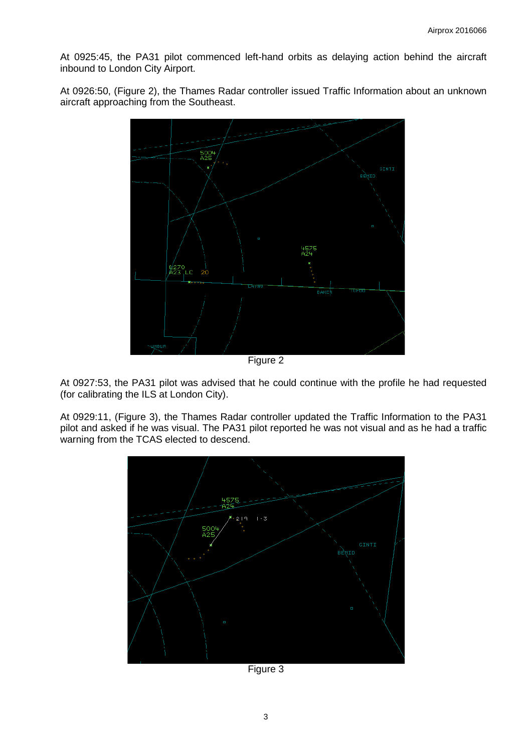At 0925:45, the PA31 pilot commenced left-hand orbits as delaying action behind the aircraft inbound to London City Airport.

At 0926:50, (Figure 2), the Thames Radar controller issued Traffic Information about an unknown aircraft approaching from the Southeast.



At 0927:53, the PA31 pilot was advised that he could continue with the profile he had requested (for calibrating the ILS at London City).

At 0929:11, (Figure 3), the Thames Radar controller updated the Traffic Information to the PA31 pilot and asked if he was visual. The PA31 pilot reported he was not visual and as he had a traffic warning from the TCAS elected to descend.



Figure 3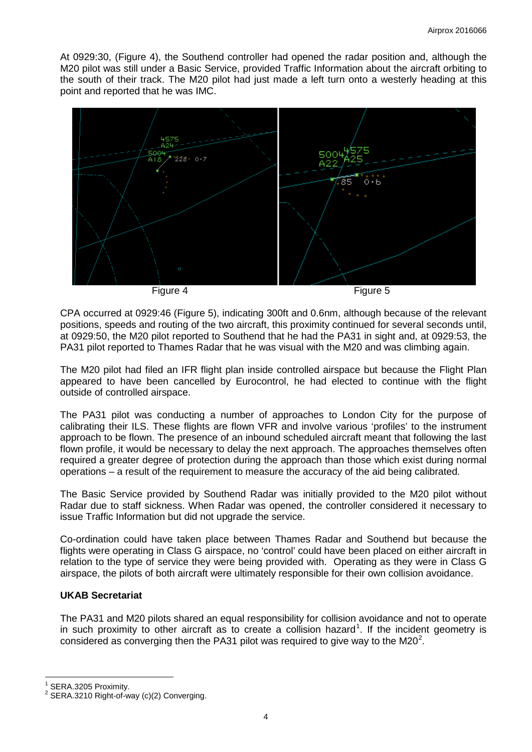At 0929:30, (Figure 4), the Southend controller had opened the radar position and, although the M20 pilot was still under a Basic Service, provided Traffic Information about the aircraft orbiting to the south of their track. The M20 pilot had just made a left turn onto a westerly heading at this point and reported that he was IMC.



CPA occurred at 0929:46 (Figure 5), indicating 300ft and 0.6nm, although because of the relevant positions, speeds and routing of the two aircraft, this proximity continued for several seconds until, at 0929:50, the M20 pilot reported to Southend that he had the PA31 in sight and, at 0929:53, the PA31 pilot reported to Thames Radar that he was visual with the M20 and was climbing again.

The M20 pilot had filed an IFR flight plan inside controlled airspace but because the Flight Plan appeared to have been cancelled by Eurocontrol, he had elected to continue with the flight outside of controlled airspace.

The PA31 pilot was conducting a number of approaches to London City for the purpose of calibrating their ILS. These flights are flown VFR and involve various 'profiles' to the instrument approach to be flown. The presence of an inbound scheduled aircraft meant that following the last flown profile, it would be necessary to delay the next approach. The approaches themselves often required a greater degree of protection during the approach than those which exist during normal operations – a result of the requirement to measure the accuracy of the aid being calibrated.

The Basic Service provided by Southend Radar was initially provided to the M20 pilot without Radar due to staff sickness. When Radar was opened, the controller considered it necessary to issue Traffic Information but did not upgrade the service.

Co-ordination could have taken place between Thames Radar and Southend but because the flights were operating in Class G airspace, no 'control' could have been placed on either aircraft in relation to the type of service they were being provided with. Operating as they were in Class G airspace, the pilots of both aircraft were ultimately responsible for their own collision avoidance.

# **UKAB Secretariat**

The PA31 and M20 pilots shared an equal responsibility for collision avoidance and not to operate in such proximity to other aircraft as to create a collision hazard<sup>[1](#page-3-0)</sup>. If the incident geometry is considered as converging then the PA31 pilot was required to give way to the M[2](#page-3-1)0<sup>2</sup>.

<span id="page-3-1"></span><span id="page-3-0"></span>

SERA.3205 Proximity.<br>SERA.3210 Right-of-way (c)(2) Converging.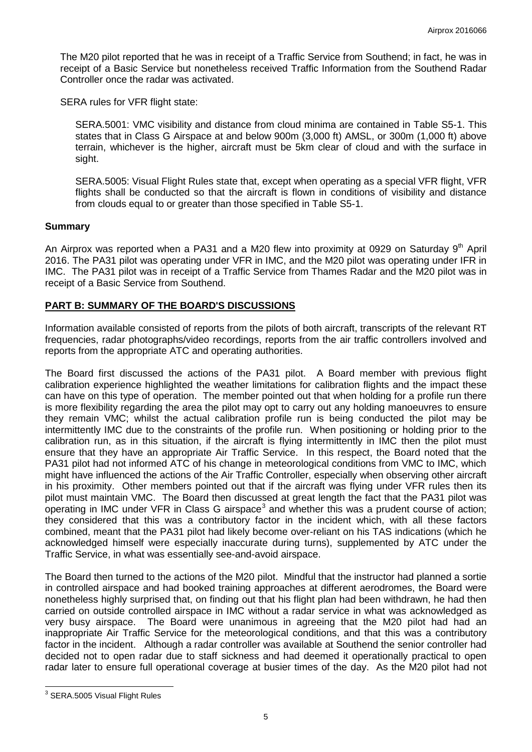The M20 pilot reported that he was in receipt of a Traffic Service from Southend; in fact, he was in receipt of a Basic Service but nonetheless received Traffic Information from the Southend Radar Controller once the radar was activated.

SERA rules for VFR flight state:

SERA.5001: VMC visibility and distance from cloud minima are contained in Table S5-1. This states that in Class G Airspace at and below 900m (3,000 ft) AMSL, or 300m (1,000 ft) above terrain, whichever is the higher, aircraft must be 5km clear of cloud and with the surface in sight.

SERA.5005: Visual Flight Rules state that, except when operating as a special VFR flight, VFR flights shall be conducted so that the aircraft is flown in conditions of visibility and distance from clouds equal to or greater than those specified in Table S5-1.

### **Summary**

An Airprox was reported when a PA31 and a M20 flew into proximity at 0929 on Saturday  $9<sup>th</sup>$  April 2016. The PA31 pilot was operating under VFR in IMC, and the M20 pilot was operating under IFR in IMC. The PA31 pilot was in receipt of a Traffic Service from Thames Radar and the M20 pilot was in receipt of a Basic Service from Southend.

# **PART B: SUMMARY OF THE BOARD'S DISCUSSIONS**

Information available consisted of reports from the pilots of both aircraft, transcripts of the relevant RT frequencies, radar photographs/video recordings, reports from the air traffic controllers involved and reports from the appropriate ATC and operating authorities.

The Board first discussed the actions of the PA31 pilot. A Board member with previous flight calibration experience highlighted the weather limitations for calibration flights and the impact these can have on this type of operation. The member pointed out that when holding for a profile run there is more flexibility regarding the area the pilot may opt to carry out any holding manoeuvres to ensure they remain VMC; whilst the actual calibration profile run is being conducted the pilot may be intermittently IMC due to the constraints of the profile run. When positioning or holding prior to the calibration run, as in this situation, if the aircraft is flying intermittently in IMC then the pilot must ensure that they have an appropriate Air Traffic Service. In this respect, the Board noted that the PA31 pilot had not informed ATC of his change in meteorological conditions from VMC to IMC, which might have influenced the actions of the Air Traffic Controller, especially when observing other aircraft in his proximity. Other members pointed out that if the aircraft was flying under VFR rules then its pilot must maintain VMC. The Board then discussed at great length the fact that the PA31 pilot was operating in IMC under VFR in Class G airspace<sup>[3](#page-4-0)</sup> and whether this was a prudent course of action; they considered that this was a contributory factor in the incident which, with all these factors combined, meant that the PA31 pilot had likely become over-reliant on his TAS indications (which he acknowledged himself were especially inaccurate during turns), supplemented by ATC under the Traffic Service, in what was essentially see-and-avoid airspace.

The Board then turned to the actions of the M20 pilot. Mindful that the instructor had planned a sortie in controlled airspace and had booked training approaches at different aerodromes, the Board were nonetheless highly surprised that, on finding out that his flight plan had been withdrawn, he had then carried on outside controlled airspace in IMC without a radar service in what was acknowledged as very busy airspace. The Board were unanimous in agreeing that the M20 pilot had had an inappropriate Air Traffic Service for the meteorological conditions, and that this was a contributory factor in the incident. Although a radar controller was available at Southend the senior controller had decided not to open radar due to staff sickness and had deemed it operationally practical to open radar later to ensure full operational coverage at busier times of the day. As the M20 pilot had not

<span id="page-4-0"></span><sup>&</sup>lt;sup>3</sup> SERA.5005 Visual Flight Rules